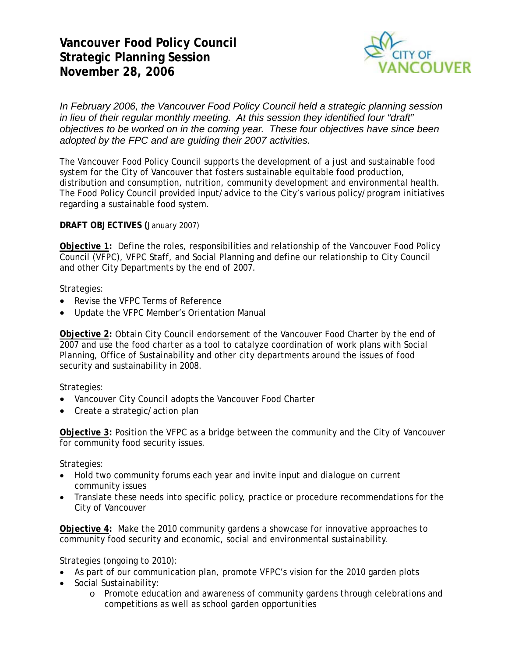**Vancouver Food Policy Council Strategic Planning Session November 28, 2006** 



*In February 2006, the Vancouver Food Policy Council held a strategic planning session in lieu of their regular monthly meeting. At this session they identified four "draft" objectives to be worked on in the coming year. These four objectives have since been adopted by the FPC and are guiding their 2007 activities.*

The Vancouver Food Policy Council supports the development of a just and sustainable food system for the City of Vancouver that fosters sustainable equitable food production, distribution and consumption, nutrition, community development and environmental health. The Food Policy Council provided input/advice to the City's various policy/program initiatives regarding a sustainable food system.

**DRAFT OBJECTIVES (**January 2007)

**Objective 1:** Define the roles, responsibilities and relationship of the Vancouver Food Policy Council (VFPC), VFPC Staff, and Social Planning and define our relationship to City Council and other City Departments by the end of 2007.

Strategies:

- Revise the VFPC Terms of Reference
- Update the VFPC Member's Orientation Manual

**Objective 2:** Obtain City Council endorsement of the Vancouver Food Charter by the end of 2007 and use the food charter as a tool to catalyze coordination of work plans with Social Planning, Office of Sustainability and other city departments around the issues of food security and sustainability in 2008.

Strategies:

- Vancouver City Council adopts the Vancouver Food Charter
- Create a strategic/action plan

**Objective 3:** Position the VFPC as a bridge between the community and the City of Vancouver for community food security issues.

Strategies:

- Hold two community forums each year and invite input and dialogue on current community issues
- Translate these needs into specific policy, practice or procedure recommendations for the City of Vancouver

**Objective 4:** Make the 2010 community gardens a showcase for innovative approaches to community food security and economic, social and environmental sustainability.

Strategies (ongoing to 2010):

- As part of our communication plan, promote VFPC's vision for the 2010 garden plots
- Social Sustainability:
	- o Promote education and awareness of community gardens through celebrations and competitions as well as school garden opportunities